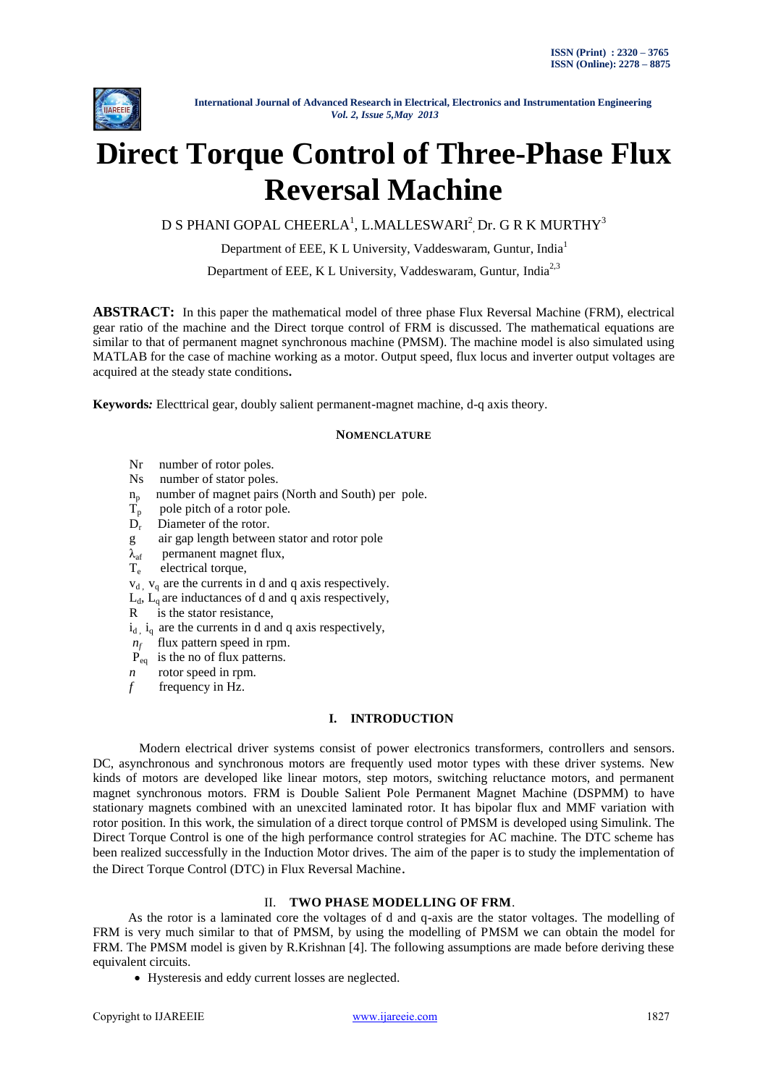

# **Direct Torque Control of Three-Phase Flux Reversal Machine**

D S PHANI GOPAL CHEERLA $^{\rm l}$ , L.MALLESWARI $^{\rm 2}$ ,Dr. G R K MURTHY $^{\rm 3}$ 

Department of EEE, K L University, Vaddeswaram, Guntur, India<sup>1</sup>

Department of EEE, K L University, Vaddeswaram, Guntur, India<sup>2,3</sup>

**ABSTRACT:** In this paper the mathematical model of three phase Flux Reversal Machine (FRM), electrical gear ratio of the machine and the Direct torque control of FRM is discussed. The mathematical equations are similar to that of permanent magnet synchronous machine (PMSM). The machine model is also simulated using MATLAB for the case of machine working as a motor. Output speed, flux locus and inverter output voltages are acquired at the steady state conditions**.**

**Keywords***:* Electtrical gear, doubly salient permanent-magnet machine, d-q axis theory.

# **NOMENCLATURE**

- Nr number of rotor poles.
- Ns number of stator poles.
- $n_p$  number of magnet pairs (North and South) per pole.<br>T<sub>n</sub> pole pitch of a rotor pole.
- pole pitch of a rotor pole.
- $D_r$ Diameter of the rotor.
- g air gap length between stator and rotor pole
- $\lambda_{\text{af}}$  permanent magnet flux,
- $T_e$ electrical torque,
- $v_{d}$ ,  $v_{g}$  are the currents in d and q axis respectively.
- $L_d$ ,  $L_q$  are inductances of d and q axis respectively,
- R is the stator resistance,
- $i_d$ ,  $i_q$  are the currents in d and q axis respectively,
- *nf* flux pattern speed in rpm.
- $\dot{P}_{eq}$  is the no of flux patterns.
- *n* rotor speed in rpm.
- *f* frequency in Hz.

## **I. INTRODUCTION**

Modern electrical driver systems consist of power electronics transformers, controllers and sensors. DC, asynchronous and synchronous motors are frequently used motor types with these driver systems. New kinds of motors are developed like linear motors, step motors, switching reluctance motors, and permanent magnet synchronous motors. FRM is Double Salient Pole Permanent Magnet Machine (DSPMM) to have stationary magnets combined with an unexcited laminated rotor. It has bipolar flux and MMF variation with rotor position. In this work, the simulation of a direct torque control of PMSM is developed using Simulink. The Direct Torque Control is one of the high performance control strategies for AC machine. The DTC scheme has been realized successfully in the Induction Motor drives. The aim of the paper is to study the implementation of the Direct Torque Control (DTC) in Flux Reversal Machine.

# II. **TWO PHASE MODELLING OF FRM**.

 As the rotor is a laminated core the voltages of d and q-axis are the stator voltages. The modelling of FRM is very much similar to that of PMSM, by using the modelling of PMSM we can obtain the model for FRM. The PMSM model is given by R.Krishnan [4]. The following assumptions are made before deriving these equivalent circuits.

Hysteresis and eddy current losses are neglected.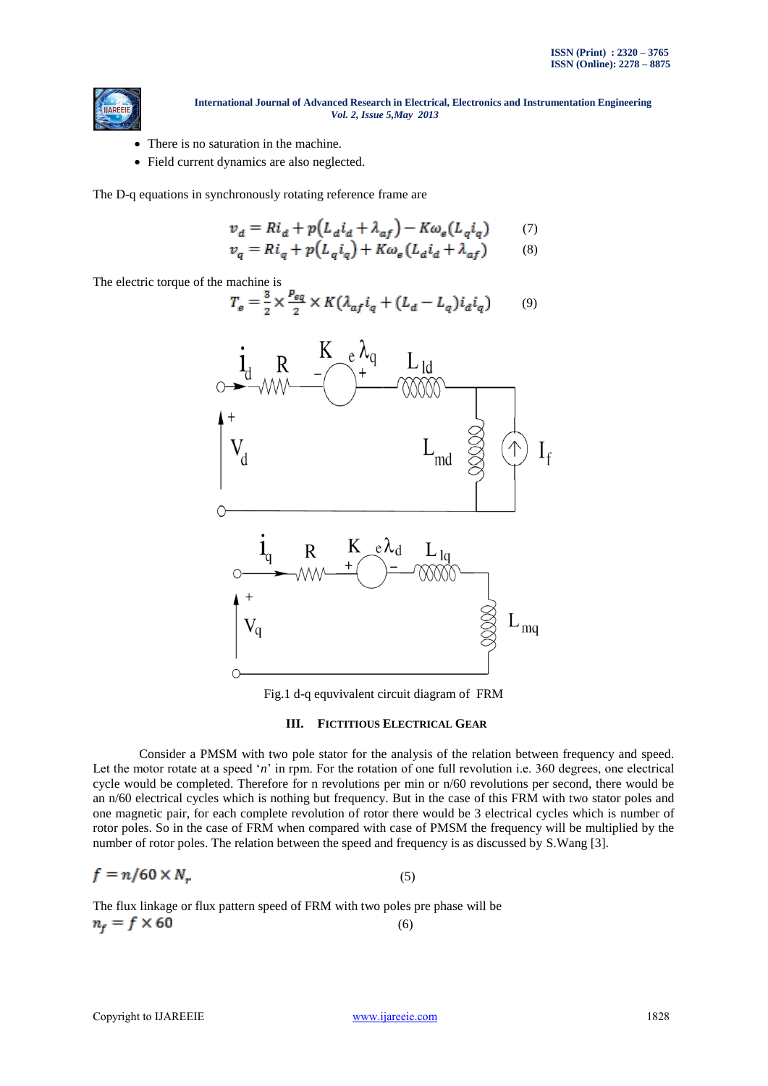

- There is no saturation in the machine.
- Field current dynamics are also neglected.

The D-q equations in synchronously rotating reference frame are

$$
v_d = Ri_d + p(L_d i_d + \lambda_{af}) - K\omega_e(L_g i_q) \tag{7}
$$

$$
v_q = Ri_q + p(L_q i_q) + K \omega_e (L_d i_d + \lambda_{af}) \tag{8}
$$

The electric torque of the machine is

$$
T_e = \frac{3}{2} \times \frac{P_{eq}}{2} \times K(\lambda_{af} i_q + (L_d - L_q) i_d i_q)
$$
 (9)



Fig.1 d-q equvivalent circuit diagram of FRM

#### **III. FICTITIOUS ELECTRICAL GEAR**

Consider a PMSM with two pole stator for the analysis of the relation between frequency and speed. Let the motor rotate at a speed '*n*' in rpm. For the rotation of one full revolution i.e. 360 degrees, one electrical cycle would be completed. Therefore for n revolutions per min or n/60 revolutions per second, there would be an n/60 electrical cycles which is nothing but frequency. But in the case of this FRM with two stator poles and one magnetic pair, for each complete revolution of rotor there would be 3 electrical cycles which is number of rotor poles. So in the case of FRM when compared with case of PMSM the frequency will be multiplied by the number of rotor poles. The relation between the speed and frequency is as discussed by S.Wang [3].

$$
f = n/60 \times N_r \tag{5}
$$

The flux linkage or flux pattern speed of FRM with two poles pre phase will be  $(6)$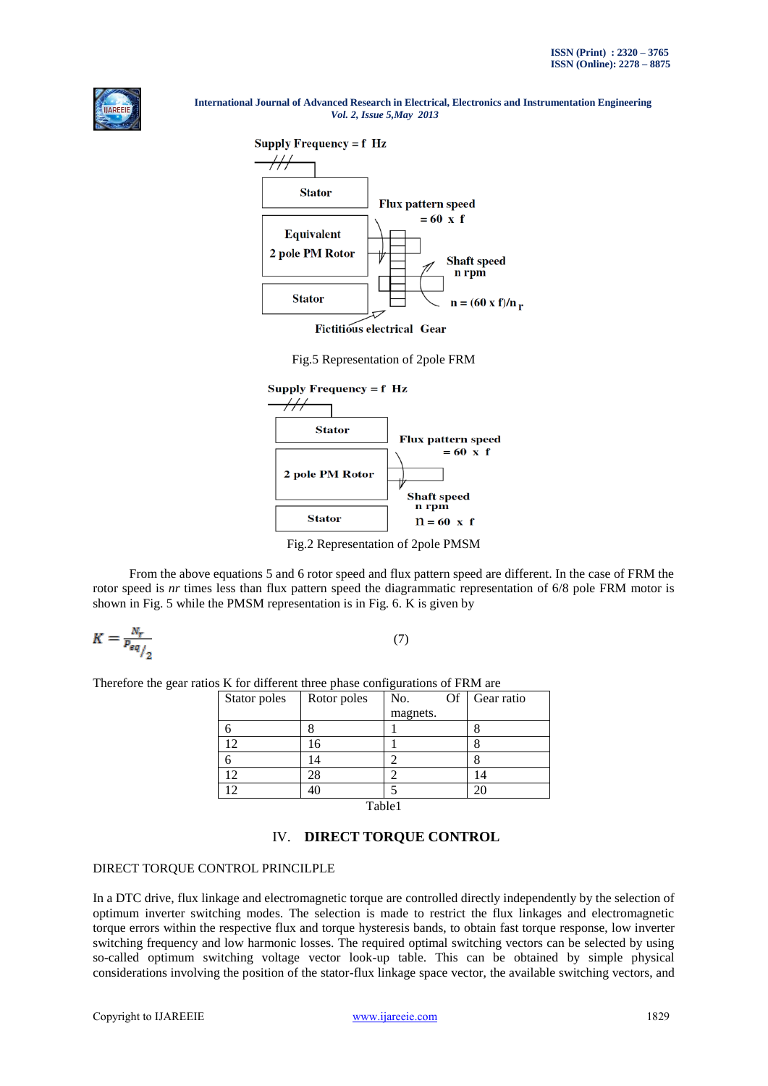



**Fictitious electrical Gear** 

Fig.5 Representation of 2pole FRM



Fig.2 Representation of 2pole PMSM

From the above equations 5 and 6 rotor speed and flux pattern speed are different. In the case of FRM the rotor speed is *nr* times less than flux pattern speed the diagrammatic representation of 6/8 pole FRM motor is shown in Fig. 5 while the PMSM representation is in Fig. 6. K is given by

$$
K = \frac{N_r}{P_{eq}} \tag{7}
$$

Therefore the gear ratios K for different three phase configurations of FRM are

| Stator poles    | Rotor poles | No.<br>Of | Gear ratio     |
|-----------------|-------------|-----------|----------------|
|                 |             | magnets.  |                |
|                 |             |           |                |
| 12              | 16          |           |                |
|                 |             |           |                |
| 12              | 28          |           | $\overline{4}$ |
| $\overline{12}$ |             |           |                |
|                 | 77.11       | - 4       |                |

Table1

# IV. **DIRECT TORQUE CONTROL**

## DIRECT TORQUE CONTROL PRINCILPLE

In a DTC drive, flux linkage and electromagnetic torque are controlled directly independently by the selection of optimum inverter switching modes. The selection is made to restrict the flux linkages and electromagnetic torque errors within the respective flux and torque hysteresis bands, to obtain fast torque response, low inverter switching frequency and low harmonic losses. The required optimal switching vectors can be selected by using so-called optimum switching voltage vector look-up table. This can be obtained by simple physical considerations involving the position of the stator-flux linkage space vector, the available switching vectors, and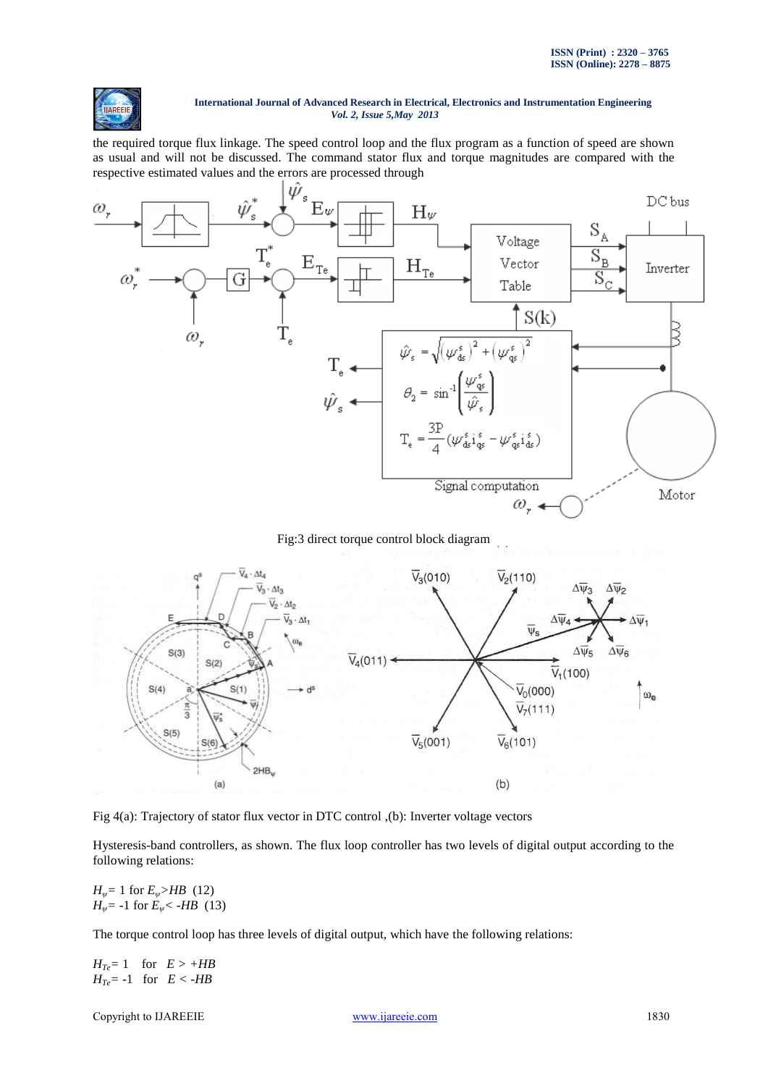

the required torque flux linkage. The speed control loop and the flux program as a function of speed are shown as usual and will not be discussed. The command stator flux and torque magnitudes are compared with the respective estimated values and the errors are processed through



Fig:3 direct torque control block diagram



Fig 4(a): Trajectory of stator flux vector in DTC control ,(b): Inverter voltage vectors

Hysteresis-band controllers, as shown. The flux loop controller has two levels of digital output according to the following relations:

*H*<sup> $\psi$ </sup> = 1 for *E*<sup> $\psi$ </sup>*>HB* (12) *H*<sup> $w$ </sup>= -1 for *E*<sup> $w$ </sup> < -*HB* (13)

The torque control loop has three levels of digital output, which have the following relations:

 $H_{Te} = 1$  for  $E > +HB$ *HTe=* -1 for *E < -HB*

Copyright to IJAREEIE [www.ijareeie.com](http://www.ijareeie.com/) 1830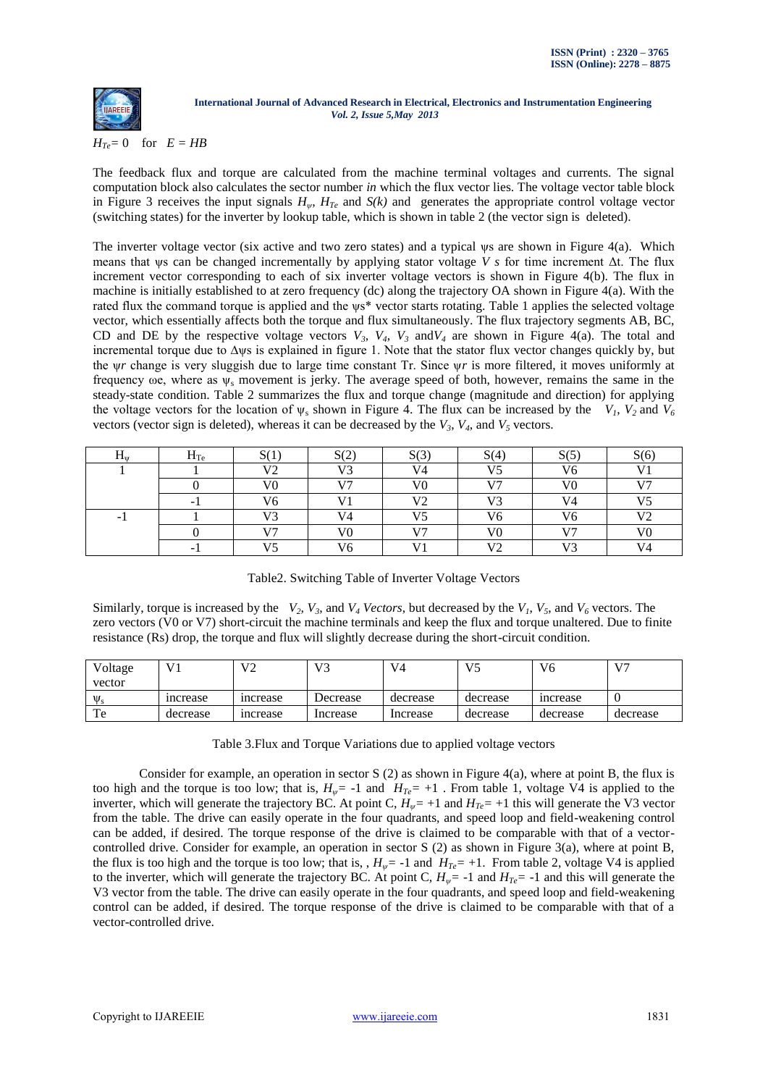

### $H_{Te} = 0$  for  $E = HB$

The feedback flux and torque are calculated from the machine terminal voltages and currents. The signal computation block also calculates the sector number *in* which the flux vector lies. The voltage vector table block in Figure 3 receives the input signals  $H_{\psi}$ ,  $H_{Te}$  and  $S(k)$  and generates the appropriate control voltage vector (switching states) for the inverter by lookup table, which is shown in table 2 (the vector sign is deleted).

The inverter voltage vector (six active and two zero states) and a typical ψs are shown in Figure 4(a). Which means that ψs can be changed incrementally by applying stator voltage *V s* for time increment Δt. The flux increment vector corresponding to each of six inverter voltage vectors is shown in Figure 4(b). The flux in machine is initially established to at zero frequency (dc) along the trajectory OA shown in Figure 4(a). With the rated flux the command torque is applied and the ψs\* vector starts rotating. Table 1 applies the selected voltage vector, which essentially affects both the torque and flux simultaneously. The flux trajectory segments AB, BC, CD and DE by the respective voltage vectors  $V_3$ ,  $V_4$ ,  $V_3$  and  $V_4$  are shown in Figure 4(a). The total and incremental torque due to ∆ψs is explained in figure 1. Note that the stator flux vector changes quickly by, but the ψ*r* change is very sluggish due to large time constant Tr. Since ψ*r* is more filtered, it moves uniformly at frequency  $\omega$ e, where as  $\psi_s$  movement is jerky. The average speed of both, however, remains the same in the steady-state condition. Table 2 summarizes the flux and torque change (magnitude and direction) for applying the voltage vectors for the location of  $\psi_s$  shown in Figure 4. The flux can be increased by the  $V_i$ ,  $V_2$  and  $V_6$ vectors (vector sign is deleted), whereas it can be decreased by the  $V_3$ ,  $V_4$ , and  $V_5$  vectors.

| $\mathbf{1}_{\mathbf{u}}$ | $H_{Te}$ | C/1<br>لداحت   | S(2)           | C(2)<br>UU     | S(4)         | C(5)<br>ر رد   | S(6)           |
|---------------------------|----------|----------------|----------------|----------------|--------------|----------------|----------------|
|                           |          | V              | V3             | $V_4$          | 175          | V6             | v.             |
|                           |          | V <sub>0</sub> | V7             | V <sub>0</sub> | $\mathbf{V}$ | ٦7Λ            | T/T            |
|                           | -        | V6             | $\mathbf{V}$ 1 | $\mathbf{V}$   | <b>170</b>   | V <sub>4</sub> | <b>TIE</b>     |
| ۰.                        |          | $\mathbf{V}$   | V <sub>4</sub> | T T            | V6           | V6             | V <sup>2</sup> |
|                           |          | $\mathbf{v}$   | V0             | T/T            | V0           | 177            | V٥             |
|                           |          | <b>TIE</b>     | V6             |                | $\mathbf{v}$ | $\mathbf{V}$   | $\mathbf{V}$   |

Similarly, torque is increased by the  $V_2$ ,  $V_3$ , and  $V_4$  *Vectors*, but decreased by the  $V_1$ ,  $V_5$ , and  $V_6$  vectors. The zero vectors (V0 or V7) short-circuit the machine terminals and keep the flux and torque unaltered. Due to finite resistance (Rs) drop, the torque and flux will slightly decrease during the short-circuit condition.

| Voltage<br>vector |          | u٥<br>v ∠      |          | V <sub>4</sub> | V5       | V6       | 177      |
|-------------------|----------|----------------|----------|----------------|----------|----------|----------|
| $\Psi_{s}$        | increase | <i>ncrease</i> | Decrease | decrease       | decrease | increase |          |
| Te                | decrease | increase       | Increase | Increase       | decrease | decrease | decrease |

Table 3.Flux and Torque Variations due to applied voltage vectors

Consider for example, an operation in sector S (2) as shown in Figure 4(a), where at point B, the flux is too high and the torque is too low; that is,  $H_{\psi}$  = -1 and  $H_{Te}$  = +1. From table 1, voltage V4 is applied to the inverter, which will generate the trajectory BC. At point C,  $H_{\psi}$  = +1 and  $H_{Te}$  = +1 this will generate the V3 vector from the table. The drive can easily operate in the four quadrants, and speed loop and field-weakening control can be added, if desired. The torque response of the drive is claimed to be comparable with that of a vectorcontrolled drive. Consider for example, an operation in sector S (2) as shown in Figure 3(a), where at point B, the flux is too high and the torque is too low; that is, ,  $H_{\psi}$  = -1 and  $H_{Te}$  = +1. From table 2, voltage V4 is applied to the inverter, which will generate the trajectory BC. At point C,  $H_{\psi}$  = -1 and  $H_{Te}$  = -1 and this will generate the V3 vector from the table. The drive can easily operate in the four quadrants, and speed loop and field-weakening control can be added, if desired. The torque response of the drive is claimed to be comparable with that of a vector-controlled drive.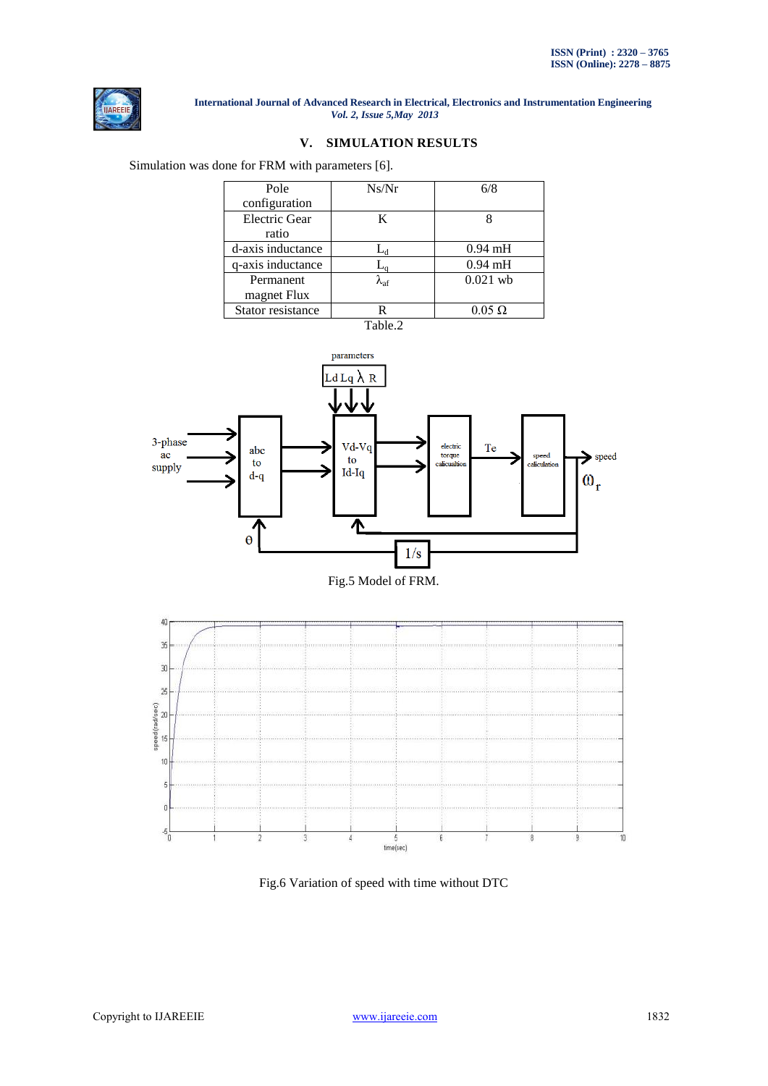

# **V. SIMULATION RESULTS**

Simulation was done for FRM with parameters [6].

| Pole                 | Ns/Nr                 | 6/8           |
|----------------------|-----------------------|---------------|
| configuration        |                       |               |
| <b>Electric Gear</b> | K                     |               |
| ratio                |                       |               |
| d-axis inductance    | $L_{\rm d}$           | $0.94$ mH     |
| q-axis inductance    | $-a$                  | $0.94$ mH     |
| Permanent            | $\lambda_{\text{af}}$ | $0.021$ wb    |
| magnet Flux          |                       |               |
| Stator resistance    |                       | $0.05 \Omega$ |
|                      |                       |               |









Fig.6 Variation of speed with time without DTC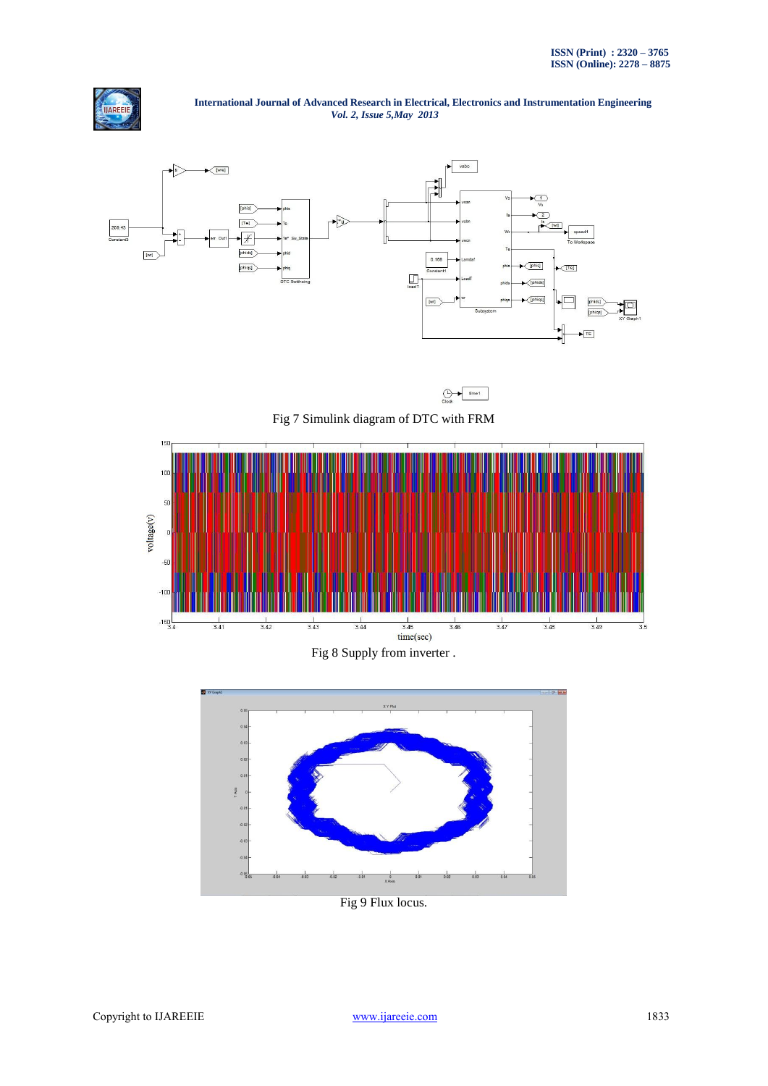



 $\bigoplus_{\text{Cl} \times \triangle} \blacksquare \text{time1}$ 

Fig 7 Simulink diagram of DTC with FRM



Fig 8 Supply from inverter .



Fig 9 Flux locus.